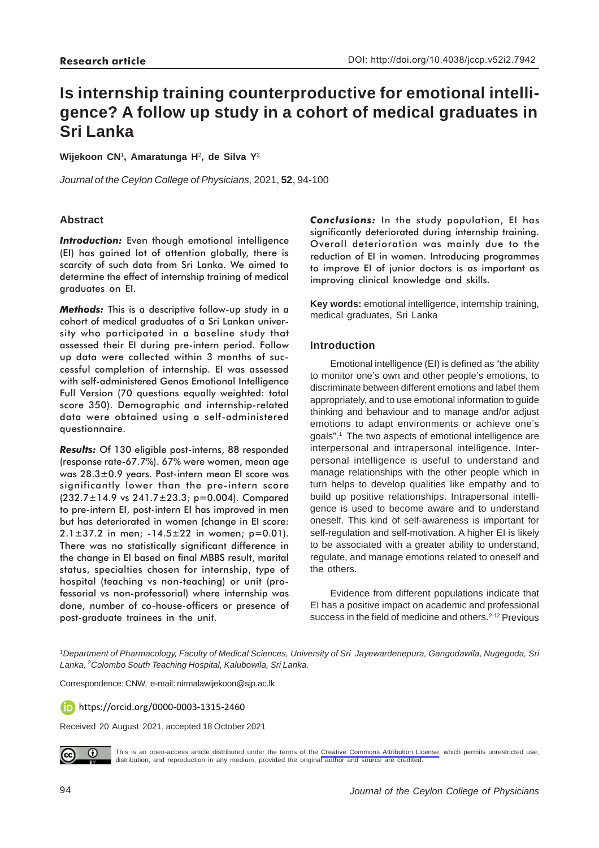# **Is internship training counterproductive for emotional intelligence? A follow up study in a cohort of medical graduates in Sri Lanka**

**Wijekoon CN**1**, Amaratunga H**2**, de Silva Y**<sup>2</sup>

*Journal of the Ceylon College of Physicians,* 2021, **52**, 94-100

# **Abstract**

**Introduction:** Even though emotional intelligence (EI) has gained lot of attention globally, there is scarcity of such data from Sri Lanka. We aimed to determine the effect of internship training of medical graduates on EI.

*Methods:* This is a descriptive follow-up study in a cohort of medical graduates of a Sri Lankan university who participated in a baseline study that assessed their EI during pre-intern period. Follow up data were collected within 3 months of successful completion of internship. EI was assessed with self-administered Genos Emotional Intelligence Full Version (70 questions equally weighted: total score 350). Demographic and internship-related data were obtained using a self-administered questionnaire.

*Results:* Of 130 eligible post-interns, 88 responded (response rate-67.7%). 67% were women, mean age was 28.3±0.9 years. Post-intern mean EI score was significantly lower than the pre-intern score (232.7±14.9 vs 241.7±23.3; p=0.004). Compared to pre-intern EI, post-intern EI has improved in men but has deteriorated in women (change in EI score:  $2.1 \pm 37.2$  in men;  $-14.5 \pm 22$  in women; p=0.01). There was no statistically significant difference in the change in EI based on final MBBS result, marital status, specialties chosen for internship, type of hospital (teaching vs non-teaching) or unit (professorial vs non-professorial) where internship was done, number of co-house-officers or presence of post-graduate trainees in the unit.

*Conclusions:* In the study population, EI has significantly deteriorated during internship training. Overall deterioration was mainly due to the reduction of EI in women. Introducing programmes to improve EI of junior doctors is as important as improving clinical knowledge and skills.

**Key words:** emotional intelligence, internship training, medical graduates, Sri Lanka

# **Introduction**

Emotional intelligence (EI) is defined as "the ability to monitor one's own and other people's emotions, to discriminate between different emotions and label them appropriately, and to use emotional information to guide thinking and behaviour and to manage and/or adjust emotions to adapt environments or achieve one's goals".1 The two aspects of emotional intelligence are interpersonal and intrapersonal intelligence. Interpersonal intelligence is useful to understand and manage relationships with the other people which in turn helps to develop qualities like empathy and to build up positive relationships. Intrapersonal intelligence is used to become aware and to understand oneself. This kind of self-awareness is important for self-regulation and self-motivation. A higher EI is likely to be associated with a greater ability to understand, regulate, and manage emotions related to oneself and the others.

Evidence from different populations indicate that EI has a positive impact on academic and professional success in the field of medicine and others.<sup>2-12</sup> Previous

<sup>1</sup>*Department of Pharmacology, Faculty of Medical Sciences, University of Sri Jayewardenepura, Gangodawila, Nugegoda, Sri Lanka,* <sup>2</sup> *Colombo South Teaching Hospital, Kalubowila, Sri Lanka.*

Correspondence: CNW, e-mail: nirmalawijekoon@sjp.ac.lk

**D** https://orcid.org/0000-0003-1315-2460

Received 20 August 2021, accepted 18 October 2021



This is an open-access article distributed under the terms of the [Creative Commons Attribution License](https://creativecommons.org/licenses/by/4.0/legalcode), which permits unrestricted use, distribution, and reproduction in any medium, provided the original author and source are credited.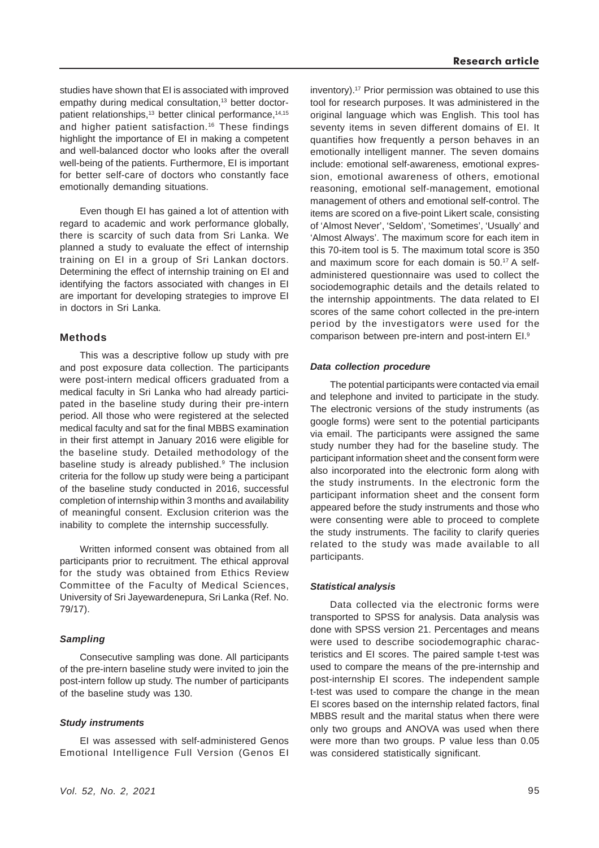studies have shown that EI is associated with improved empathy during medical consultation,<sup>13</sup> better doctorpatient relationships,<sup>13</sup> better clinical performance,<sup>14,15</sup> and higher patient satisfaction.<sup>16</sup> These findings highlight the importance of EI in making a competent and well-balanced doctor who looks after the overall well-being of the patients. Furthermore, EI is important for better self-care of doctors who constantly face emotionally demanding situations.

Even though EI has gained a lot of attention with regard to academic and work performance globally, there is scarcity of such data from Sri Lanka. We planned a study to evaluate the effect of internship training on EI in a group of Sri Lankan doctors. Determining the effect of internship training on EI and identifying the factors associated with changes in EI are important for developing strategies to improve EI in doctors in Sri Lanka.

## **Methods**

This was a descriptive follow up study with pre and post exposure data collection. The participants were post-intern medical officers graduated from a medical faculty in Sri Lanka who had already participated in the baseline study during their pre-intern period. All those who were registered at the selected medical faculty and sat for the final MBBS examination in their first attempt in January 2016 were eligible for the baseline study. Detailed methodology of the baseline study is already published.<sup>9</sup> The inclusion criteria for the follow up study were being a participant of the baseline study conducted in 2016, successful completion of internship within 3 months and availability of meaningful consent. Exclusion criterion was the inability to complete the internship successfully.

Written informed consent was obtained from all participants prior to recruitment. The ethical approval for the study was obtained from Ethics Review Committee of the Faculty of Medical Sciences, University of Sri Jayewardenepura, Sri Lanka (Ref. No. 79/17).

# *Sampling*

Consecutive sampling was done. All participants of the pre-intern baseline study were invited to join the post-intern follow up study. The number of participants of the baseline study was 130.

#### *Study instruments*

EI was assessed with self-administered Genos Emotional Intelligence Full Version (Genos EI inventory).17 Prior permission was obtained to use this tool for research purposes. It was administered in the original language which was English. This tool has seventy items in seven different domains of EI. It quantifies how frequently a person behaves in an emotionally intelligent manner. The seven domains include: emotional self-awareness, emotional expression, emotional awareness of others, emotional reasoning, emotional self-management, emotional management of others and emotional self-control. The items are scored on a five-point Likert scale, consisting of 'Almost Never', 'Seldom', 'Sometimes', 'Usually' and 'Almost Always'. The maximum score for each item in this 70-item tool is 5. The maximum total score is 350 and maximum score for each domain is 50.17 A selfadministered questionnaire was used to collect the sociodemographic details and the details related to the internship appointments. The data related to EI scores of the same cohort collected in the pre-intern period by the investigators were used for the comparison between pre-intern and post-intern EI.9

#### *Data collection procedure*

The potential participants were contacted via email and telephone and invited to participate in the study. The electronic versions of the study instruments (as google forms) were sent to the potential participants via email. The participants were assigned the same study number they had for the baseline study. The participant information sheet and the consent form were also incorporated into the electronic form along with the study instruments. In the electronic form the participant information sheet and the consent form appeared before the study instruments and those who were consenting were able to proceed to complete the study instruments. The facility to clarify queries related to the study was made available to all participants.

#### *Statistical analysis*

Data collected via the electronic forms were transported to SPSS for analysis. Data analysis was done with SPSS version 21. Percentages and means were used to describe sociodemographic characteristics and EI scores. The paired sample t-test was used to compare the means of the pre-internship and post-internship EI scores. The independent sample t-test was used to compare the change in the mean EI scores based on the internship related factors, final MBBS result and the marital status when there were only two groups and ANOVA was used when there were more than two groups. P value less than 0.05 was considered statistically significant.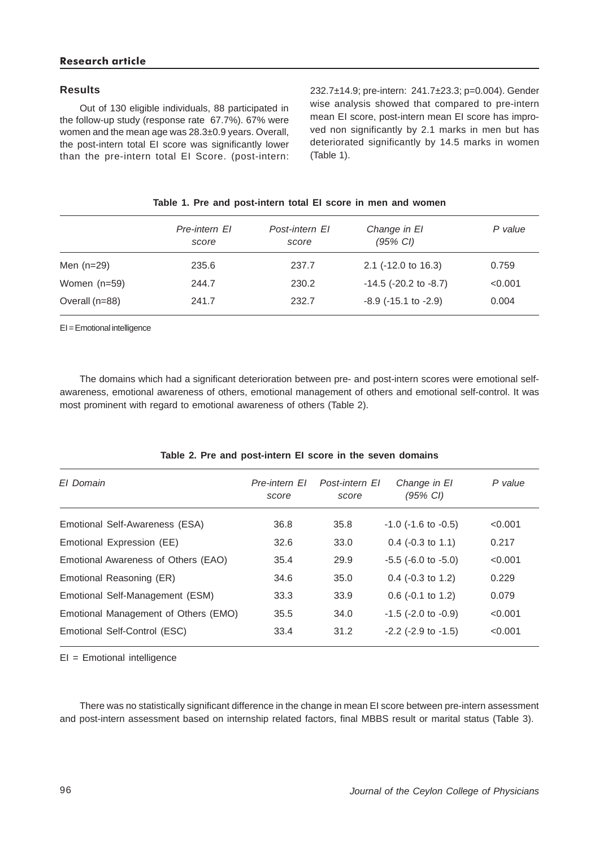#### **Results**

Out of 130 eligible individuals, 88 participated in the follow-up study (response rate 67.7%). 67% were women and the mean age was 28.3±0.9 years. Overall, the post-intern total EI score was significantly lower than the pre-intern total EI Score. (post-intern: 232.7±14.9; pre-intern: 241.7±23.3; p=0.004). Gender wise analysis showed that compared to pre-intern mean EI score, post-intern mean EI score has improved non significantly by 2.1 marks in men but has deteriorated significantly by 14.5 marks in women (Table 1).

|                | Pre-intern El<br>score | Post-intern El<br>score | Change in El<br>$(95\% \text{ Cl})$ | P value |
|----------------|------------------------|-------------------------|-------------------------------------|---------|
| Men (n=29)     | 235.6                  | 237.7                   | $2.1$ (-12.0 to 16.3)               | 0.759   |
| Women (n=59)   | 244.7                  | 230.2                   | $-14.5$ ( $-20.2$ to $-8.7$ )       | < 0.001 |
| Overall (n=88) | 241.7                  | 232.7                   | $-8.9$ ( $-15.1$ to $-2.9$ )        | 0.004   |
|                |                        |                         |                                     |         |

### **Table 1. Pre and post-intern total EI score in men and women**

EI = Emotional intelligence

The domains which had a significant deterioration between pre- and post-intern scores were emotional selfawareness, emotional awareness of others, emotional management of others and emotional self-control. It was most prominent with regard to emotional awareness of others (Table 2).

| El Domain                            | Pre-intern FI<br>score | Post-intern El<br>score | Change in El<br>(95% CI)    | P value |
|--------------------------------------|------------------------|-------------------------|-----------------------------|---------|
| Emotional Self-Awareness (ESA)       | 36.8                   | 35.8                    | $-1.0$ ( $-1.6$ to $-0.5$ ) | < 0.001 |
| Emotional Expression (EE)            | 32.6                   | 33.0                    | $0.4$ (-0.3 to 1.1)         | 0.217   |
| Emotional Awareness of Others (EAO)  | 35.4                   | 29.9                    | $-5.5$ ( $-6.0$ to $-5.0$ ) | < 0.001 |
| Emotional Reasoning (ER)             | 34.6                   | 35.0                    | $0.4$ (-0.3 to 1.2)         | 0.229   |
| Emotional Self-Management (ESM)      | 33.3                   | 33.9                    | $0.6$ (-0.1 to 1.2)         | 0.079   |
| Emotional Management of Others (EMO) | 35.5                   | 34.0                    | $-1.5$ ( $-2.0$ to $-0.9$ ) | < 0.001 |
| Emotional Self-Control (ESC)         | 33.4                   | 31.2                    | $-2.2$ ( $-2.9$ to $-1.5$ ) | < 0.001 |
|                                      |                        |                         |                             |         |

#### **Table 2. Pre and post-intern EI score in the seven domains**

EI = Emotional intelligence

There was no statistically significant difference in the change in mean EI score between pre-intern assessment and post-intern assessment based on internship related factors, final MBBS result or marital status (Table 3).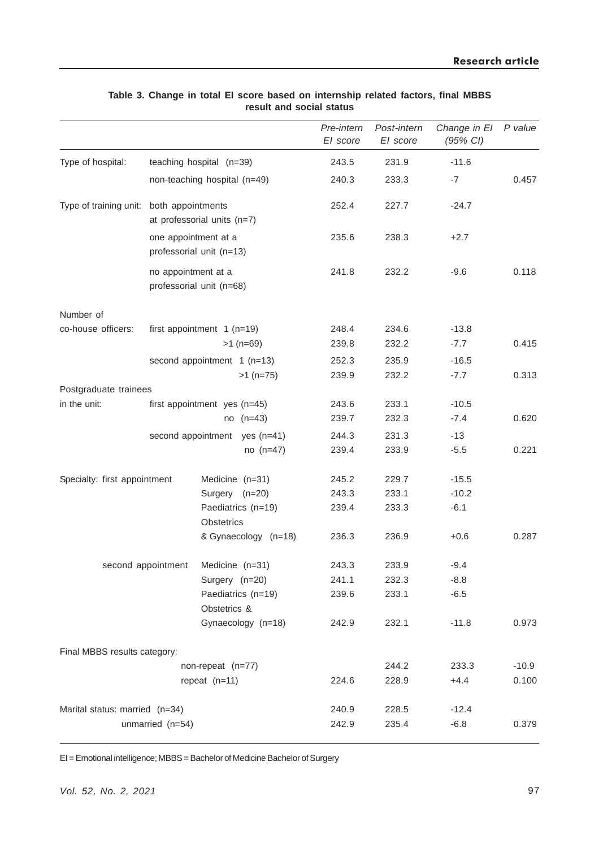|                                |                                |                                                  |                               | Pre-intern<br>El score | Post-intern<br>El score | Change in El<br>(95% CI) | P value |
|--------------------------------|--------------------------------|--------------------------------------------------|-------------------------------|------------------------|-------------------------|--------------------------|---------|
| Type of hospital:              | teaching hospital (n=39)       |                                                  | 243.5                         | 231.9                  | $-11.6$                 |                          |         |
|                                | non-teaching hospital (n=49)   |                                                  | 240.3                         | 233.3                  | $-7$                    | 0.457                    |         |
| Type of training unit:         |                                | both appointments<br>at professorial units (n=7) |                               | 252.4                  | 227.7                   | $-24.7$                  |         |
|                                |                                | one appointment at a<br>professorial unit (n=13) |                               | 235.6                  | 238.3                   | $+2.7$                   |         |
|                                |                                | no appointment at a<br>professorial unit (n=68)  |                               | 241.8                  | 232.2                   | $-9.6$                   | 0.118   |
| Number of                      |                                |                                                  |                               |                        |                         |                          |         |
| co-house officers:             | first appointment $1$ (n=19)   |                                                  |                               | 248.4                  | 234.6                   | $-13.8$                  |         |
|                                |                                |                                                  | $>1$ (n=69)                   | 239.8                  | 232.2                   | $-7.7$                   | 0.415   |
|                                | second appointment 1 (n=13)    |                                                  |                               | 252.3                  | 235.9                   | $-16.5$                  |         |
|                                |                                |                                                  | $>1$ (n=75)                   | 239.9                  | 232.2                   | $-7.7$                   | 0.313   |
| Postgraduate trainees          |                                |                                                  |                               |                        |                         |                          |         |
| in the unit:                   | first appointment yes $(n=45)$ |                                                  |                               | 243.6                  | 233.1                   | $-10.5$                  |         |
|                                |                                |                                                  | $no$ ( $n=43$ )               | 239.7                  | 232.3                   | $-7.4$                   | 0.620   |
|                                |                                |                                                  | second appointment yes (n=41) | 244.3                  | 231.3                   | $-13$                    |         |
|                                |                                |                                                  | $no( n=47)$                   | 239.4                  | 233.9                   | $-5.5$                   | 0.221   |
| Specialty: first appointment   |                                | Medicine (n=31)                                  |                               | 245.2                  | 229.7                   | $-15.5$                  |         |
|                                |                                | Surgery (n=20)                                   |                               | 243.3                  | 233.1                   | $-10.2$                  |         |
|                                |                                | Obstetrics                                       | Paediatrics (n=19)            | 239.4                  | 233.3                   | $-6.1$                   |         |
|                                |                                |                                                  | & Gynaecology (n=18)          | 236.3                  | 236.9                   | $+0.6$                   | 0.287   |
| second appointment             |                                | Medicine (n=31)                                  |                               | 243.3                  | 233.9                   | $-9.4$                   |         |
|                                |                                | Surgery (n=20)                                   |                               | 241.1                  | 232.3                   | $-8.8$                   |         |
|                                |                                | Obstetrics &                                     | Paediatrics (n=19)            | 239.6                  | 233.1                   | $-6.5$                   |         |
|                                |                                |                                                  | Gynaecology (n=18)            | 242.9                  | 232.1                   | $-11.8$                  | 0.973   |
| Final MBBS results category:   |                                |                                                  |                               |                        |                         |                          |         |
|                                |                                | non-repeat (n=77)                                |                               |                        | 244.2                   | 233.3                    | $-10.9$ |
|                                |                                | repeat $(n=11)$                                  |                               | 224.6                  | 228.9                   | $+4.4$                   | 0.100   |
| Marital status: married (n=34) |                                |                                                  | 240.9                         | 228.5                  | $-12.4$                 |                          |         |
| unmarried (n=54)               |                                |                                                  | 242.9                         | 235.4                  | $-6.8$                  | 0.379                    |         |
|                                |                                |                                                  |                               |                        |                         |                          |         |

### **Table 3. Change in total EI score based on internship related factors, final MBBS result and social status**

EI = Emotional intelligence; MBBS = Bachelor of Medicine Bachelor of Surgery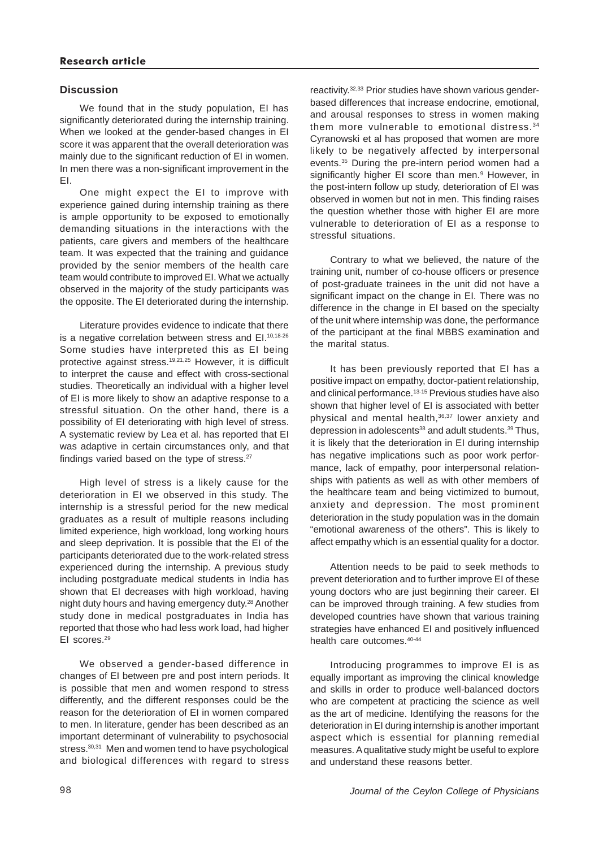# **Discussion**

We found that in the study population, EI has significantly deteriorated during the internship training. When we looked at the gender-based changes in EI score it was apparent that the overall deterioration was mainly due to the significant reduction of EI in women. In men there was a non-significant improvement in the EI.

One might expect the EI to improve with experience gained during internship training as there is ample opportunity to be exposed to emotionally demanding situations in the interactions with the patients, care givers and members of the healthcare team. It was expected that the training and guidance provided by the senior members of the health care team would contribute to improved EI. What we actually observed in the majority of the study participants was the opposite. The EI deteriorated during the internship.

Literature provides evidence to indicate that there is a negative correlation between stress and El.<sup>10,18-26</sup> Some studies have interpreted this as EI being protective against stress.19,21,25 However, it is difficult to interpret the cause and effect with cross-sectional studies. Theoretically an individual with a higher level of EI is more likely to show an adaptive response to a stressful situation. On the other hand, there is a possibility of EI deteriorating with high level of stress. A systematic review by Lea et al. has reported that EI was adaptive in certain circumstances only, and that findings varied based on the type of stress. $27$ 

High level of stress is a likely cause for the deterioration in EI we observed in this study. The internship is a stressful period for the new medical graduates as a result of multiple reasons including limited experience, high workload, long working hours and sleep deprivation. It is possible that the EI of the participants deteriorated due to the work-related stress experienced during the internship. A previous study including postgraduate medical students in India has shown that EI decreases with high workload, having night duty hours and having emergency duty.<sup>28</sup> Another study done in medical postgraduates in India has reported that those who had less work load, had higher EI scores.29

We observed a gender-based difference in changes of EI between pre and post intern periods. It is possible that men and women respond to stress differently, and the different responses could be the reason for the deterioration of EI in women compared to men. In literature, gender has been described as an important determinant of vulnerability to psychosocial stress.<sup>30,31</sup> Men and women tend to have psychological and biological differences with regard to stress

reactivity.32,33 Prior studies have shown various genderbased differences that increase endocrine, emotional, and arousal responses to stress in women making them more vulnerable to emotional distress.<sup>34</sup> Cyranowski et al has proposed that women are more likely to be negatively affected by interpersonal events.<sup>35</sup> During the pre-intern period women had a significantly higher EI score than men.<sup>9</sup> However, in the post-intern follow up study, deterioration of EI was observed in women but not in men. This finding raises the question whether those with higher EI are more vulnerable to deterioration of EI as a response to stressful situations.

Contrary to what we believed, the nature of the training unit, number of co-house officers or presence of post-graduate trainees in the unit did not have a significant impact on the change in EI. There was no difference in the change in EI based on the specialty of the unit where internship was done, the performance of the participant at the final MBBS examination and the marital status.

It has been previously reported that EI has a positive impact on empathy, doctor-patient relationship, and clinical performance.<sup>13-15</sup> Previous studies have also shown that higher level of EI is associated with better physical and mental health,36,37 lower anxiety and depression in adolescents<sup>38</sup> and adult students.<sup>39</sup> Thus, it is likely that the deterioration in EI during internship has negative implications such as poor work performance, lack of empathy, poor interpersonal relationships with patients as well as with other members of the healthcare team and being victimized to burnout, anxiety and depression. The most prominent deterioration in the study population was in the domain "emotional awareness of the others". This is likely to affect empathy which is an essential quality for a doctor.

Attention needs to be paid to seek methods to prevent deterioration and to further improve EI of these young doctors who are just beginning their career. EI can be improved through training. A few studies from developed countries have shown that various training strategies have enhanced EI and positively influenced health care outcomes.40-44

Introducing programmes to improve EI is as equally important as improving the clinical knowledge and skills in order to produce well-balanced doctors who are competent at practicing the science as well as the art of medicine. Identifying the reasons for the deterioration in EI during internship is another important aspect which is essential for planning remedial measures. A qualitative study might be useful to explore and understand these reasons better.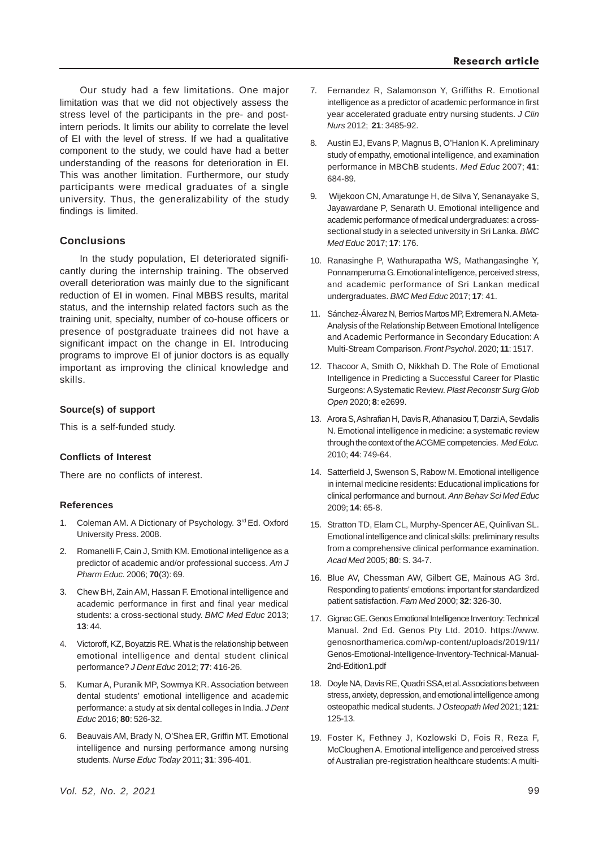Our study had a few limitations. One major limitation was that we did not objectively assess the stress level of the participants in the pre- and postintern periods. It limits our ability to correlate the level of EI with the level of stress. If we had a qualitative component to the study, we could have had a better understanding of the reasons for deterioration in EI. This was another limitation. Furthermore, our study participants were medical graduates of a single university. Thus, the generalizability of the study findings is limited.

# **Conclusions**

In the study population, EI deteriorated significantly during the internship training. The observed overall deterioration was mainly due to the significant reduction of EI in women. Final MBBS results, marital status, and the internship related factors such as the training unit, specialty, number of co-house officers or presence of postgraduate trainees did not have a significant impact on the change in EI. Introducing programs to improve EI of junior doctors is as equally important as improving the clinical knowledge and skills.

### **Source(s) of support**

This is a self-funded study.

#### **Conflicts of Interest**

There are no conflicts of interest.

#### **References**

- 1. Coleman AM. A Dictionary of Psychology. 3<sup>rd</sup> Ed. Oxford University Press. 2008.
- 2. Romanelli F, Cain J, Smith KM. Emotional intelligence as a predictor of academic and/or professional success. *Am J Pharm Educ.* 2006; **70**(3): 69.
- 3. Chew BH, Zain AM, Hassan F. Emotional intelligence and academic performance in first and final year medical students: a cross-sectional study. *BMC Med Educ* 2013; **13**: 44.
- 4. Victoroff, KZ, Boyatzis RE. What is the relationship between emotional intelligence and dental student clinical performance? *J Dent Educ* 2012; **77**: 416-26.
- 5. Kumar A, Puranik MP, Sowmya KR. Association between dental students' emotional intelligence and academic performance: a study at six dental colleges in India. *J Dent Educ* 2016; **80**: 526-32.
- 6. Beauvais AM, Brady N, O'Shea ER, Griffin MT. Emotional intelligence and nursing performance among nursing students. *Nurse Educ Today* 2011; **31**: 396-401.
- 7. Fernandez R, Salamonson Y, Griffiths R. Emotional intelligence as a predictor of academic performance in first year accelerated graduate entry nursing students. *J Clin Nurs* 2012; **21**: 3485-92.
- 8. Austin EJ, Evans P, Magnus B, O'Hanlon K. A preliminary study of empathy, emotional intelligence, and examination performance in MBChB students. *Med Educ* 2007; **41**: 684-89.
- 9. Wijekoon CN, Amaratunge H, de Silva Y, Senanayake S, Jayawardane P, Senarath U. Emotional intelligence and academic performance of medical undergraduates: a crosssectional study in a selected university in Sri Lanka. *BMC Med Educ* 2017; **17**: 176.
- 10. Ranasinghe P, Wathurapatha WS, Mathangasinghe Y, Ponnamperuma G. Emotional intelligence, perceived stress, and academic performance of Sri Lankan medical undergraduates. *BMC Med Educ* 2017; **17**: 41.
- 11. Sánchez-Álvarez N, Berrios Martos MP, Extremera N. A Meta-Analysis of the Relationship Between Emotional Intelligence and Academic Performance in Secondary Education: A Multi-Stream Comparison. *Front Psychol*. 2020; **11**: 1517.
- 12. Thacoor A, Smith O, Nikkhah D. The Role of Emotional Intelligence in Predicting a Successful Career for Plastic Surgeons: A Systematic Review. *Plast Reconstr Surg Glob Open* 2020; **8**: e2699.
- 13. Arora S, Ashrafian H, Davis R, Athanasiou T, Darzi A, Sevdalis N. Emotional intelligence in medicine: a systematic review through the context of the ACGME competencies. *Med Educ.* 2010; **44**: 749-64.
- 14. Satterfield J, Swenson S, Rabow M. Emotional intelligence in internal medicine residents: Educational implications for clinical performance and burnout. *Ann Behav Sci Med Educ* 2009; **14**: 65-8.
- 15. Stratton TD, Elam CL, Murphy-Spencer AE, Quinlivan SL. Emotional intelligence and clinical skills: preliminary results from a comprehensive clinical performance examination. *Acad Med* 2005; **80**: S. 34-7.
- 16. Blue AV, Chessman AW, Gilbert GE, Mainous AG 3rd. Responding to patients' emotions: important for standardized patient satisfaction. *Fam Med* 2000; **32**: 326-30.
- 17. Gignac GE. Genos Emotional Intelligence Inventory: Technical Manual. 2nd Ed. Genos Pty Ltd. 2010. https://www. genosnorthamerica.com/wp-content/uploads/2019/11/ Genos-Emotional-Intelligence-Inventory-Technical-Manual-2nd-Edition1.pdf
- 18. Doyle NA, Davis RE, Quadri SSA,et al. Associations between stress, anxiety, depression, and emotional intelligence among osteopathic medical students. *J Osteopath Med* 2021; **121**: 125-13.
- 19. Foster K, Fethney J, Kozlowski D, Fois R, Reza F, McCloughen A. Emotional intelligence and perceived stress of Australian pre-registration healthcare students: A multi-